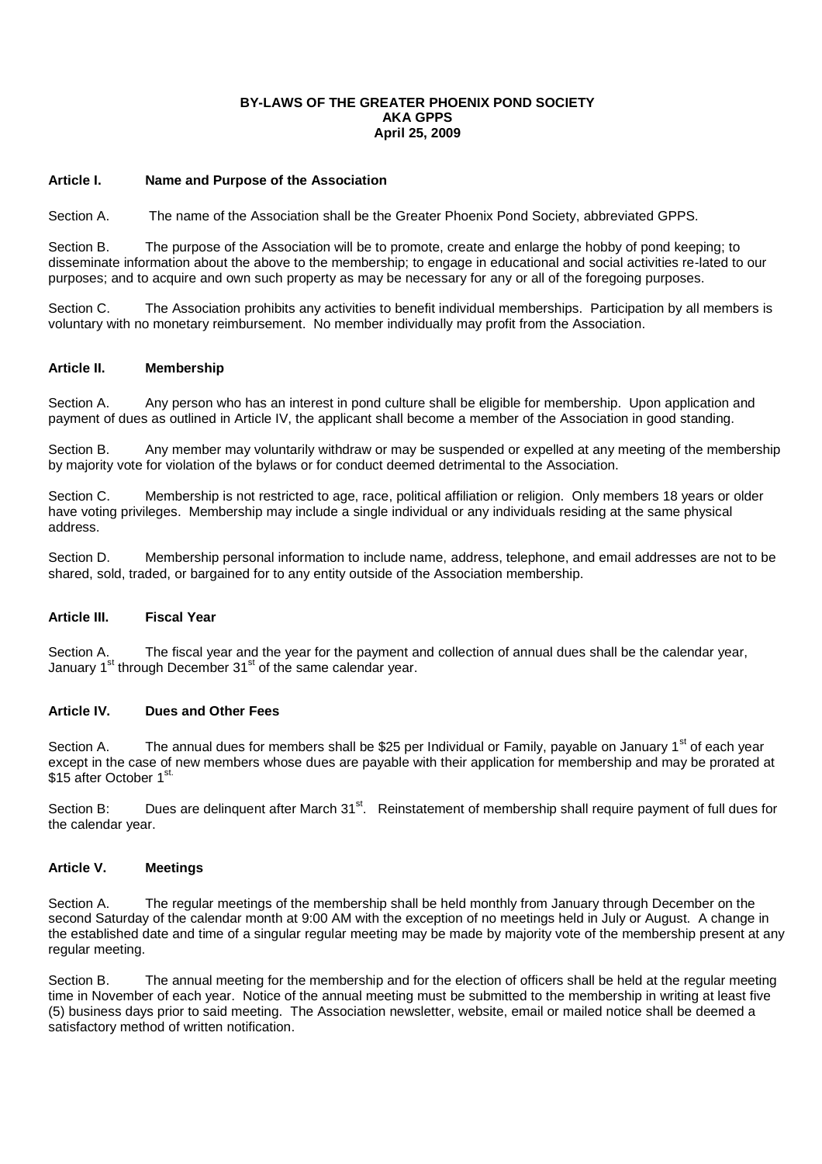### **BY-LAWS OF THE GREATER PHOENIX POND SOCIETY AKA GPPS April 25, 2009**

### **Article I. Name and Purpose of the Association**

Section A. The name of the Association shall be the Greater Phoenix Pond Society, abbreviated GPPS.

Section B. The purpose of the Association will be to promote, create and enlarge the hobby of pond keeping; to disseminate information about the above to the membership; to engage in educational and social activities re-lated to our purposes; and to acquire and own such property as may be necessary for any or all of the foregoing purposes.

Section C. The Association prohibits any activities to benefit individual memberships. Participation by all members is voluntary with no monetary reimbursement. No member individually may profit from the Association.

## **Article II. Membership**

Section A. Any person who has an interest in pond culture shall be eligible for membership. Upon application and payment of dues as outlined in Article IV, the applicant shall become a member of the Association in good standing.

Section B. Any member may voluntarily withdraw or may be suspended or expelled at any meeting of the membership by majority vote for violation of the bylaws or for conduct deemed detrimental to the Association.

Section C. Membership is not restricted to age, race, political affiliation or religion. Only members 18 years or older have voting privileges. Membership may include a single individual or any individuals residing at the same physical address.

Section D. Membership personal information to include name, address, telephone, and email addresses are not to be shared, sold, traded, or bargained for to any entity outside of the Association membership.

### **Article III. Fiscal Year**

Section A. The fiscal year and the year for the payment and collection of annual dues shall be the calendar year, January 1<sup>st</sup> through December 31<sup>st</sup> of the same calendar year.

### **Article IV. Dues and Other Fees**

Section A. The annual dues for members shall be \$25 per Individual or Family, payable on January 1<sup>st</sup> of each year except in the case of new members whose dues are payable with their application for membership and may be prorated at \$15 after October 1<sup>st</sup>

Section B: Dues are delinquent after March 31<sup>st</sup>. Reinstatement of membership shall require payment of full dues for the calendar year.

## **Article V. Meetings**

Section A. The regular meetings of the membership shall be held monthly from January through December on the second Saturday of the calendar month at 9:00 AM with the exception of no meetings held in July or August. A change in the established date and time of a singular regular meeting may be made by majority vote of the membership present at any regular meeting.

Section B. The annual meeting for the membership and for the election of officers shall be held at the regular meeting time in November of each year. Notice of the annual meeting must be submitted to the membership in writing at least five (5) business days prior to said meeting. The Association newsletter, website, email or mailed notice shall be deemed a satisfactory method of written notification.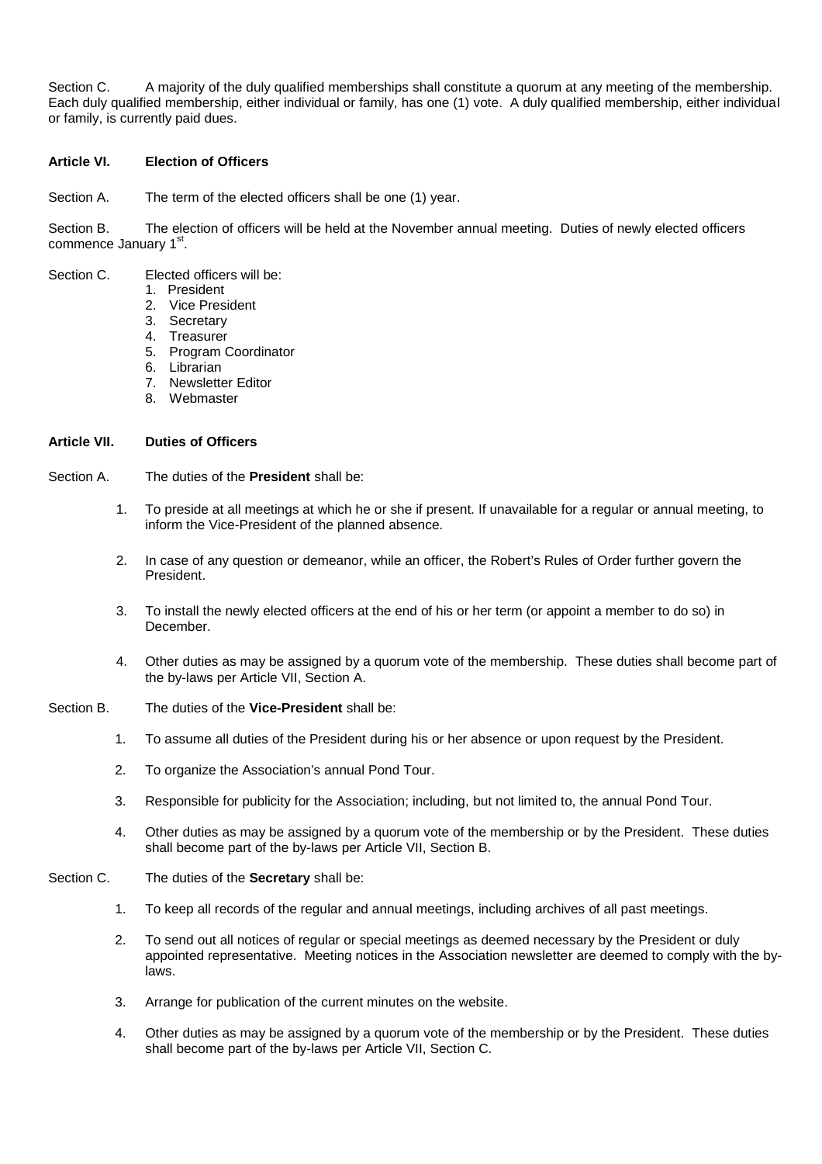Section C. A majority of the duly qualified memberships shall constitute a quorum at any meeting of the membership. Each duly qualified membership, either individual or family, has one (1) vote. A duly qualified membership, either individual or family, is currently paid dues.

## **Article VI. Election of Officers**

Section A. The term of the elected officers shall be one (1) year.

Section B. The election of officers will be held at the November annual meeting. Duties of newly elected officers commence January 1<sup>st</sup>.

- Section C. Elected officers will be:
	- 1. President
	- 2. Vice President
	- 3. Secretary
	- 4. Treasurer
	- 5. Program Coordinator
	- 6. Librarian
	- 7. Newsletter Editor
	- 8. Webmaster

#### **Article VII. Duties of Officers**

Section A. The duties of the **President** shall be:

- 1. To preside at all meetings at which he or she if present. If unavailable for a regular or annual meeting, to inform the Vice-President of the planned absence.
- 2. In case of any question or demeanor, while an officer, the Robert's Rules of Order further govern the President.
- 3. To install the newly elected officers at the end of his or her term (or appoint a member to do so) in December.
- 4. Other duties as may be assigned by a quorum vote of the membership. These duties shall become part of the by-laws per Article VII, Section A.
- Section B. The duties of the **Vice-President** shall be:
	- 1. To assume all duties of the President during his or her absence or upon request by the President.
	- 2. To organize the Association's annual Pond Tour.
	- 3. Responsible for publicity for the Association; including, but not limited to, the annual Pond Tour.
	- 4. Other duties as may be assigned by a quorum vote of the membership or by the President. These duties shall become part of the by-laws per Article VII, Section B.
- Section C. The duties of the **Secretary** shall be:
	- 1. To keep all records of the regular and annual meetings, including archives of all past meetings.
	- 2. To send out all notices of regular or special meetings as deemed necessary by the President or duly appointed representative. Meeting notices in the Association newsletter are deemed to comply with the bylaws.
	- 3. Arrange for publication of the current minutes on the website.
	- 4. Other duties as may be assigned by a quorum vote of the membership or by the President. These duties shall become part of the by-laws per Article VII, Section C.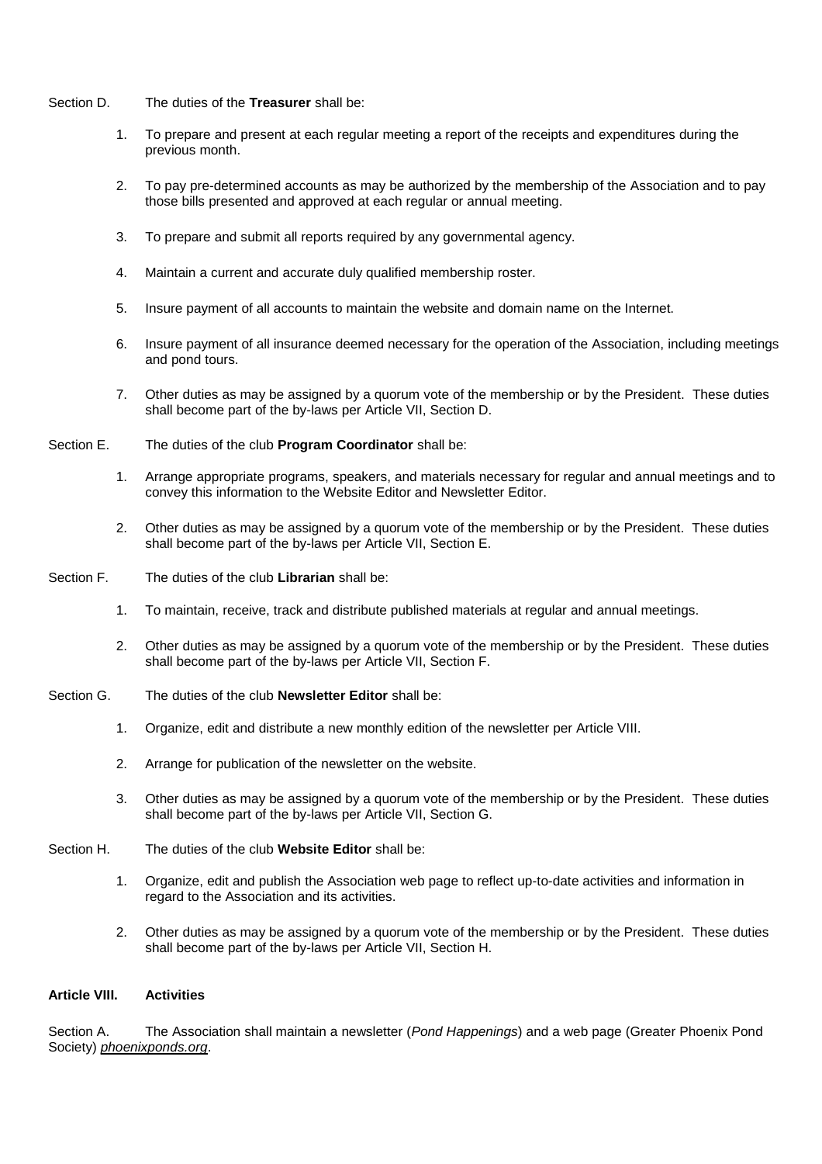- Section D. The duties of the **Treasurer** shall be:
	- 1. To prepare and present at each regular meeting a report of the receipts and expenditures during the previous month.
	- 2. To pay pre-determined accounts as may be authorized by the membership of the Association and to pay those bills presented and approved at each regular or annual meeting.
	- 3. To prepare and submit all reports required by any governmental agency.
	- 4. Maintain a current and accurate duly qualified membership roster.
	- 5. Insure payment of all accounts to maintain the website and domain name on the Internet.
	- 6. Insure payment of all insurance deemed necessary for the operation of the Association, including meetings and pond tours.
	- 7. Other duties as may be assigned by a quorum vote of the membership or by the President. These duties shall become part of the by-laws per Article VII, Section D.
- Section E. The duties of the club **Program Coordinator** shall be:
	- 1. Arrange appropriate programs, speakers, and materials necessary for regular and annual meetings and to convey this information to the Website Editor and Newsletter Editor.
	- 2. Other duties as may be assigned by a quorum vote of the membership or by the President. These duties shall become part of the by-laws per Article VII, Section E.
- Section F. The duties of the club **Librarian** shall be:
	- 1. To maintain, receive, track and distribute published materials at regular and annual meetings.
	- 2. Other duties as may be assigned by a quorum vote of the membership or by the President. These duties shall become part of the by-laws per Article VII, Section F.
- Section G. The duties of the club **Newsletter Editor** shall be:
	- 1. Organize, edit and distribute a new monthly edition of the newsletter per Article VIII.
	- 2. Arrange for publication of the newsletter on the website.
	- 3. Other duties as may be assigned by a quorum vote of the membership or by the President. These duties shall become part of the by-laws per Article VII, Section G.
- Section H. The duties of the club **Website Editor** shall be:
	- 1. Organize, edit and publish the Association web page to reflect up-to-date activities and information in regard to the Association and its activities.
	- 2. Other duties as may be assigned by a quorum vote of the membership or by the President. These duties shall become part of the by-laws per Article VII, Section H.

# **Article VIII. Activities**

Section A. The Association shall maintain a newsletter (*Pond Happenings*) and a web page (Greater Phoenix Pond Society) *phoenixponds.org*.